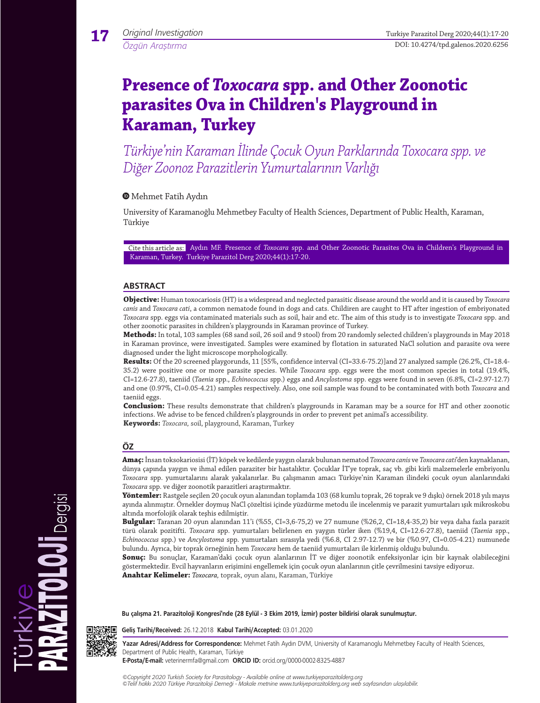# **Presence of** *Toxocara* **spp. and Other Zoonotic parasites Ova in Children's Playground in Karaman, Turkey**

*Türkiye'nin Karaman İlinde Çocuk Oyun Parklarında Toxocara spp. ve Diğer Zoonoz Parazitlerin Yumurtalarının Varlığı*

## Mehmet Fatih Aydın

University of Karamanoğlu Mehmetbey Faculty of Health Sciences, Department of Public Health, Karaman, Türkiye

Cite this article as: Aydın MF. Presence of *Toxocara* spp. and Other Zoonotic Parasites Ova in Children's Playground in Karaman, Turkey. Turkiye Parazitol Derg 2020;44(1):17-20.

## **ABSTRACT**

**Objective:** Human toxocariosis (HT) is a widespread and neglected parasitic disease around the world and it is caused by *Toxocara canis* and *Toxocara cati*, a common nematode found in dogs and cats. Childiren are caught to HT after ingestion of embriyonated *Toxocara* spp. eggs via contaminated materials such as soil, hair and etc. The aim of this study is to investigate *Toxocara* spp. and other zoonotic parasites in children's playgrounds in Karaman province of Turkey.

**Methods:** In total, 103 samples (68 sand soil, 26 soil and 9 stool) from 20 randomly selected children's playgrounds in May 2018 in Karaman province, were investigated. Samples were examined by flotation in saturated NaCl solution and parasite ova were diagnosed under the light microscope morphologically.

**Results:** Of the 20 screened playgorunds, 11 [55%, confidence interval (CI=33.6-75.2)]and 27 analyzed sample (26.2%, CI=18.4- 35.2) were positive one or more parasite species. While *Toxocara* spp. eggs were the most common species in total (19.4%, CI=12.6-27.8), taeniid (*Taenia* spp., *Echinococcus* spp.) eggs and *Ancylostoma* spp. eggs were found in seven (6.8%, CI=2.97-12.7) and one (0.97%, CI=0.05-4.21) samples respectively. Also, one soil sample was found to be contaminated with both *Toxocara* and taeniid eggs.

**Conclusion:** These results demonstrate that children's playgrounds in Karaman may be a source for HT and other zoonotic infections. We advise to be fenced children's playgrounds in order to prevent pet animal's accessibility. **Keywords:** *Toxocara,* soil, playground, Karaman, Turkey

## **ÖZ**

**Amaç:**İnsan toksokariosisi (İT) köpek ve kedilerde yaygın olarak bulunan nematod *Toxocara canis* ve *Toxocara cati*'den kaynaklanan, dünya çapında yaygın ve ihmal edilen paraziter bir hastalıktır. Çocuklar İT'ye toprak, saç vb. gibi kirli malzemelerle embriyonlu *Toxocara* spp. yumurtalarını alarak yakalanırlar. Bu çalışmanın amacı Türkiye'nin Karaman ilindeki çocuk oyun alanlarındaki *Toxocara* spp. ve diğer zoonotik parazitleri araştırmaktır.

**Yöntemler:** Rastgele seçilen 20 çocuk oyun alanından toplamda 103 (68 kumlu toprak, 26 toprak ve 9 dışkı) örnek 2018 yılı mayıs ayında alınmıştır. Örnekler doymuş NaCl çözeltisi içinde yüzdürme metodu ile incelenmiş ve parazit yumurtaları ışık mikroskobu altında morfolojik olarak teşhis edilmiştir.

**Bulgular:** Taranan 20 oyun alanından 11'i (%55, CI=3,6-75,2) ve 27 numune (%26,2, CI=18,4-35,2) bir veya daha fazla parazit türü olarak pozitifti. *Toxocara* spp. yumurtaları belirlenen en yaygın türler iken (%19,4, CI=12.6-27.8), taeniid (*Taenia* spp., *Echinococcus* spp.) ve *Ancylostoma* spp. yumurtaları sırasıyla yedi (%6.8, CI 2.97-12.7) ve bir (%0.97, CI=0.05-4.21) numunede bulundu. Ayrıca, bir toprak örneğinin hem *Toxocara* hem de taeniid yumurtaları ile kirlenmiş olduğu bulundu.

**Sonuç:** Bu sonuçlar, Karaman'daki çocuk oyun alanlarının İT ve diğer zoonotik enfeksiyonlar için bir kaynak olabileceğini göstermektedir. Evcil hayvanların erişimini engellemek için çocuk oyun alanlarının çitle çevrilmesini tavsiye ediyoruz. **Anahtar Kelimeler:** *Toxocara,* toprak, oyun alanı, Karaman, Türkiye

**Bu çalışma 21. Parazitoloji Kongresi'nde (28 Eylül - 3 Ekim 2019, İzmir) poster bildirisi olarak sunulmuştur.**



**Geliş Tarihi/Received:** 26.12.2018 **Kabul Tarihi/Accepted:** 03.01.2020

**Yazar Adresi/Address for Correspondence:** Mehmet Fatih Aydın DVM, University of Karamanoglu Mehmetbey Faculty of Health Sciences, Department of Public Health, Karaman, Türkiye

**E-Posta/E-mail:** veterinermfa@gmail.com **ORCID ID:** orcid.org/0000-0002-8325-4887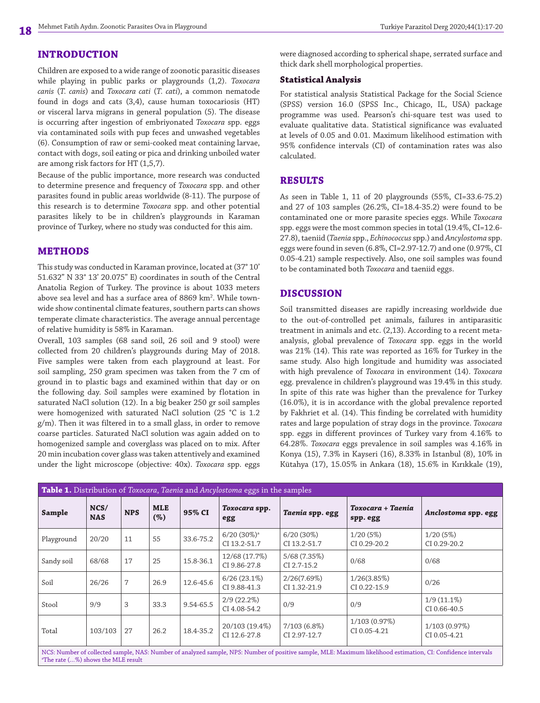## **INTRODUCTION**

Children are exposed to a wide range of zoonotic parasitic diseases while playing in public parks or playgrounds (1,2). *Toxocara canis* (*T. canis*) and *Toxocara cati* (*T. cati*), a common nematode found in dogs and cats (3,4), cause human toxocariosis (HT) or visceral larva migrans in general population (5). The disease is occurring after ingestion of embriyonated *Toxocara* spp. eggs via contaminated soils with pup feces and unwashed vegetables (6). Consumption of raw or semi-cooked meat containing larvae, contact with dogs, soil eating or pica and drinking unboiled water are among risk factors for HT (1,5,7).

Because of the public importance, more research was conducted to determine presence and frequency of *Toxocara* spp. and other parasites found in public areas worldwide (8-11). The purpose of this research is to determine *Toxocara* spp. and other potential parasites likely to be in children's playgrounds in Karaman province of Turkey, where no study was conducted for this aim.

### **METHODS**

This study was conducted in Karaman province, located at (37° 10' 51.632" N 33° 13' 20.075" E) coordinates in south of the Central Anatolia Region of Turkey. The province is about 1033 meters above sea level and has a surface area of 8869 km². While townwide show continental climate features, southern parts can shows temperate climate characteristics. The average annual percentage of relative humidity is 58% in Karaman.

Overall, 103 samples (68 sand soil, 26 soil and 9 stool) were collected from 20 children's playgrounds during May of 2018. Five samples were taken from each playground at least. For soil sampling, 250 gram specimen was taken from the 7 cm of ground in to plastic bags and examined within that day or on the following day. Soil samples were examined by flotation in saturated NaCl solution (12). In a big beaker 250 gr soil samples were homogenized with saturated NaCl solution (25 °C is 1.2 g/m). Then it was filtered in to a small glass, in order to remove coarse particles. Saturated NaCl solution was again added on to homogenized sample and coverglass was placed on to mix. After 20 min incubation cover glass was taken attentively and examined under the light microscope (objective: 40x). *Toxocara* spp. eggs

a The rate (…%) shows the MLE result

were diagnosed according to spherical shape, serrated surface and thick dark shell morphological properties.

#### **Statistical Analysis**

For statistical analysis Statistical Package for the Social Science (SPSS) version 16.0 (SPSS Inc., Chicago, IL, USA) package programme was used. Pearson's chi-square test was used to evaluate qualitative data. Statistical significance was evaluated at levels of 0.05 and 0.01. Maximum likelihood estimation with 95% confidence intervals (CI) of contamination rates was also calculated.

## **RESULTS**

As seen in Table 1, 11 of 20 playgrounds (55%, CI=33.6-75.2) and 27 of 103 samples (26.2%, CI=18.4-35.2) were found to be contaminated one or more parasite species eggs. While *Toxocara* spp. eggs were the most common species in total (19.4%, CI=12.6- 27.8), taeniid (*Taenia* spp., *Echinococcus* spp.) and *Ancylostoma* spp. eggs were found in seven (6.8%, CI=2.97-12.7) and one (0.97%, CI 0.05-4.21) sample respectively. Also, one soil samples was found to be contaminated both *Toxocara* and taeniid eggs.

#### **DISCUSSION**

Soil transmitted diseases are rapidly increasing worldwide due to the out-of-controlled pet animals, failures in antiparasitic treatment in animals and etc. (2,13). According to a recent metaanalysis, global prevalence of *Toxocara* spp. eggs in the world was 21% (14). This rate was reported as 16% for Turkey in the same study. Also high longitude and humidity was associated with high prevalence of *Toxocara* in environment (14). *Toxocara* egg. prevalence in children's playground was 19.4% in this study. In spite of this rate was higher than the prevalence for Turkey (16.0%), it is in accordance with the global prevalence reported by Fakhriet et al. (14). This finding be correlated with humidity rates and large population of stray dogs in the province. *Toxocara* spp. eggs in different provinces of Turkey vary from 4.16% to 64.28%. *Toxocara* eggs prevalence in soil samples was 4.16% in Konya (15), 7.3% in Kayseri (16), 8.33% in Istanbul (8), 10% in Kütahya (17), 15.05% in Ankara (18), 15.6% in Kırıkkale (19),

| Table 1. Distribution of Toxocara, Taenia and Ancylostoma eggs in the samples                                                                                 |                    |            |                      |           |                                           |                                |                               |                               |
|---------------------------------------------------------------------------------------------------------------------------------------------------------------|--------------------|------------|----------------------|-----------|-------------------------------------------|--------------------------------|-------------------------------|-------------------------------|
| Sample                                                                                                                                                        | NCS/<br><b>NAS</b> | <b>NPS</b> | <b>MLE</b><br>$(\%)$ | 95% CI    | Toxocara spp.<br>egg                      | Taenia spp. egg                | Toxocara + Taenia<br>spp. egg | Anclostoma spp. egg           |
| Playground                                                                                                                                                    | 20/20              | 11         | 55                   | 33.6-75.2 | $6/20(30\%)$ <sup>a</sup><br>CI 13.2-51.7 | $6/20(30\%)$<br>CI 13.2-51.7   | $1/20(5\%)$<br>CI 0.29-20.2   | $1/20(5\%)$<br>CI 0.29-20.2   |
| Sandy soil                                                                                                                                                    | 68/68              | 17         | 25                   | 15.8-36.1 | 12/68 (17.7%)<br>CI 9.86-27.8             | 5/68 (7.35%)<br>CI 2.7-15.2    | 0/68                          | 0/68                          |
| Soil                                                                                                                                                          | 26/26              | 7          | 26.9                 | 12.6-45.6 | $6/26(23.1\%)$<br>CI 9.88-41.3            | 2/26(7.69%)<br>CI 1.32-21.9    | 1/26(3.85%)<br>CI 0.22-15.9   | 0/26                          |
| Stool                                                                                                                                                         | 9/9                | 3          | 33.3                 | 9.54-65.5 | $2/9(22.2\%)$<br>CI 4.08-54.2             | 0/9                            | 0/9                           | $1/9(11.1\%)$<br>CI 0.66-40.5 |
| Total                                                                                                                                                         | 103/103            | 27         | 26.2                 | 18.4-35.2 | 20/103 (19.4%)<br>CI 12.6-27.8            | $7/103(6.8\%)$<br>CI 2.97-12.7 | 1/103 (0.97%)<br>CI 0.05-4.21 | 1/103 (0.97%)<br>CI 0.05-4.21 |
| NCS: Number of collected sample, NAS: Number of analyzed sample, NPS: Number of positive sample, MLE: Maximum likelihood estimation, CI: Confidence intervals |                    |            |                      |           |                                           |                                |                               |                               |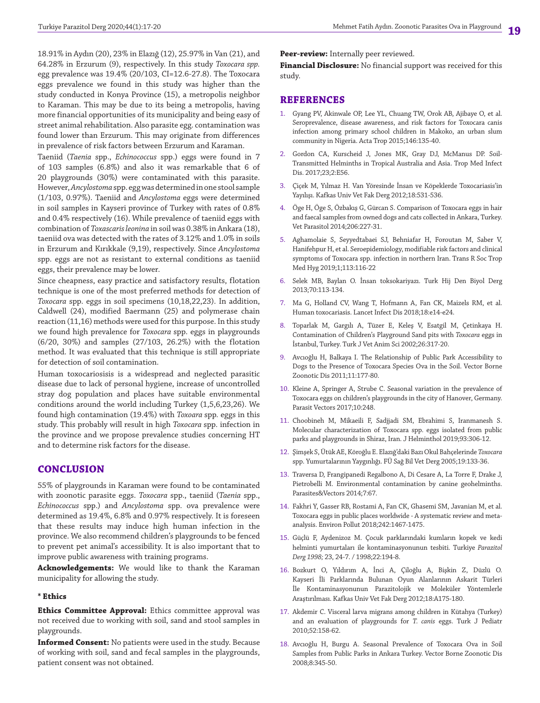18.91% in Aydın (20), 23% in Elazığ (12), 25.97% in Van (21), and 64.28% in Erzurum (9), respectively. In this study *Toxocara spp.* egg prevalence was 19.4% (20/103, CI=12.6-27.8). The Toxocara eggs prevalence we found in this study was higher than the study conducted in Konya Province (15), a metropolis neighbor to Karaman. This may be due to its being a metropolis, having more financial opportunities of its municipality and being easy of street animal rehabilitation. Also parasite egg. contamination was found lower than Erzurum. This may originate from differences in prevalence of risk factors between Erzurum and Karaman.

Taeniid (*Taenia* spp., *Echinococcus* spp.) eggs were found in 7 of 103 samples (6.8%) and also it was remarkable that 6 of 20 playgrounds (30%) were contaminated with this parasite. However, *Ancylostoma* spp. egg was determined in one stool sample (1/103, 0.97%). Taeniid and *Ancylostoma* eggs were determined in soil samples in Kayseri province of Turkey with rates of 0.8% and 0.4% respectively (16). While prevalence of taeniid eggs with combination of *Toxascaris leonina* in soil was 0.38% in Ankara (18), taeniid ova was detected with the rates of 3.12% and 1.0% in soils in Erzurum and Kırıkkale (9,19), respectively. Since *Ancylostoma*  spp. eggs are not as resistant to external conditions as taeniid eggs, their prevalence may be lower.

Since cheapness, easy practice and satisfactory results, flotation technique is one of the most preferred methods for detection of *Toxocara* spp. eggs in soil specimens (10,18,22,23). In addition, Caldwell (24), modified Baermann (25) and polymerase chain reaction (11,16) methods were used for this purpose. In this study we found high prevalence for *Toxocara* spp. eggs in playgrounds (6/20, 30%) and samples (27/103, 26.2%) with the flotation method. It was evaluated that this technique is still appropriate for detection of soil contamination.

Human toxocariosisis is a widespread and neglected parasitic disease due to lack of personal hygiene, increase of uncontrolled stray dog population and places have suitable environmental conditions around the world including Turkey (1,5,6,23,26). We found high contamination (19.4%) with *Toxoara* spp*.* eggs in this study. This probably will result in high *Toxocara* spp. infection in the province and we propose prevalence studies concerning HT and to determine risk factors for the disease.

## **CONCLUSION**

55% of playgrounds in Karaman were found to be contaminated with zoonotic parasite eggs. *Toxocara* spp., taeniid (*Taenia* spp., *Echinococcus* spp.) and *Ancylostoma* spp. ova prevalence were determined as 19.4%, 6.8% and 0.97% respectively. It is foreseen that these results may induce high human infection in the province. We also recommend children's playgrounds to be fenced to prevent pet animal's accessibility. It is also important that to improve public awareness with training programs.

**Acknowledgements:** We would like to thank the Karaman municipality for allowing the study.

#### **\* Ethics**

**Ethics Committee Approval:** Ethics committee approval was not received due to working with soil, sand and stool samples in playgrounds.

**Informed Consent:** No patients were used in the study. Because of working with soil, sand and fecal samples in the playgrounds, patient consent was not obtained.

**Peer-review:** Internally peer reviewed.

**Financial Disclosure:** No financial support was received for this study.

#### **REFERENCES**

- 1. Gyang PV, Akinwale OP, Lee YL, Chuang TW, Orok AB, Ajibaye O, et al. Seroprevalence, disease awareness, and risk factors for Toxocara canis infection among primary school children in Makoko, an urban slum community in Nigeria. Acta Trop 2015;146:135-40.
- 2. Gordon CA, Kurscheid J, Jones MK, Gray DJ, McManus DP. Soil-Transmitted Helminths in Tropical Australia and Asia. Trop Med Infect Dis. 2017;23;2:E56.
- 3. Çiçek M, Yılmaz H. Van Yöresinde İnsan ve Köpeklerde Toxocariasis'in Yayılışı. Kafkas Univ Vet Fak Derg 2012;18:531-536.
- 4. Öge H, Öge S, Özbakış G, Gürcan S. Comparison of Toxocara eggs in hair and faecal samples from owned dogs and cats collected in Ankara, Turkey. Vet Parasitol 2014;206:227-31.
- 5. Aghamolaie S, Seyyedtabaei SJ, Behniafar H, Foroutan M, Saber V, Hanifehpur H, et al. Seroepidemiology, modifiable risk factors and clinical symptoms of Toxocara spp. infection in northern Iran. Trans R Soc Trop Med Hyg 2019;1;113:116-22
- 6. Selek MB, Baylan O. İnsan toksokariyazı. Turk Hij Den Biyol Derg 2013;70:113-134.
- 7. Ma G, Holland CV, Wang T, Hofmann A, Fan CK, Maizels RM, et al. Human toxocariasis. Lancet Infect Dis 2018;18:e14-e24.
- 8. Toparlak M, Gargılı A, Tüzer E, Keleş V, Esatgil M, Çetinkaya H. Contamination of Children's Playground Sand pits with *Toxocara* eggs in İstanbul, Turkey. Turk J Vet Anim Sci 2002;26:317-20.
- 9. Avcıoğlu H, Balkaya I. The Relationship of Public Park Accessibility to Dogs to the Presence of Toxocara Species Ova in the Soil. Vector Borne Zoonotic Dis 2011;11:177-80.
- 10. Kleine A, Springer A, Strube C. Seasonal variation in the prevalence of Toxocara eggs on children's playgrounds in the city of Hanover, Germany. Parasit Vectors 2017;10:248.
- 11. Choobineh M, Mikaeili F, Sadjjadi SM, Ebrahimi S, Iranmanesh S. Molecular characterization of Toxocara spp. eggs isolated from public parks and playgrounds in Shiraz, Iran. J Helminthol 2019;93:306-12.
- 12. Şimşek S, Ütük AE, Köroğlu E. Elazığ'daki Bazı Okul Bahçelerinde *Toxocara* spp. Yumurtalarının Yaygınlığı. FÜ Sağ Bil Vet Derg 2005;19:133-36.
- 13. Traversa D, Frangipanedi Regalbono A, Di Cesare A, La Torre F, Drake J, Pietrobelli M. Environmental contamination by canine geohelminths. Parasites&Vectors 2014;7:67.
- 14. Fakhri Y, Gasser RB, Rostami A, Fan CK, Ghasemi SM, Javanian M, et al. Toxocara eggs in public places worldwide - A systematic review and metaanalysis. Environ Pollut 2018;242:1467-1475.
- 15. Güçlü F, Aydenizoz M. Çocuk parklarındaki kumların kopek ve kedi helminti yumurtaları ile kontaminasyonunun tesbiti. Turkiye *Parazitol Derg 1998;* 23, 24-7. / 1998;22:194-8.
- 16. Bozkurt O, Yıldırım A, İnci A, Çiloğlu A, Bişkin Z, Düzlü O. Kayseri İli Parklarında Bulunan Oyun Alanlarının Askarit Türleri İle Kontaminasyonunun Parazitolojik ve Moleküler Yöntemlerle Araştırılması. Kafkas Univ Vet Fak Derg 2012;18:A175-180.
- 17. Akdemir C. Visceral larva migrans among children in Kütahya (Turkey) and an evaluation of playgrounds for *T. canis* eggs. Turk J Pediatr 2010;52:158-62.
- 18. Avcıoğlu H, Burgu A. Seasonal Prevalence of Toxocara Ova in Soil Samples from Public Parks in Ankara Turkey. Vector Borne Zoonotic Dis 2008;8:345-50.